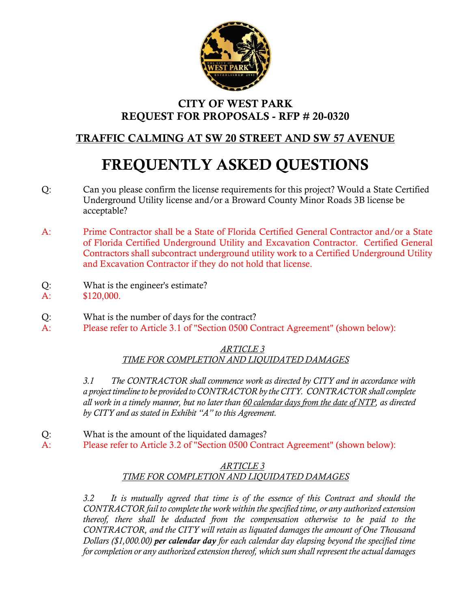

## **CITY OF WEST PARK REQUEST FOR PROPOSALS - RFP # 20-0320**

# **TRAFFIC CALMING AT SW 20 STREET AND SW 57 AVENUE**

# **FREQUENTLY ASKED QUESTIONS**

- Q: Can you please confirm the license requirements for this project? Would a State Certified Underground Utility license and/or a Broward County Minor Roads 3B license be acceptable?
- A: Prime Contractor shall be a State of Florida Certified General Contractor and/or a State of Florida Certified Underground Utility and Excavation Contractor. Certified General Contractors shall subcontract underground utility work to a Certified Underground Utility and Excavation Contractor if they do not hold that license.
- Q: What is the engineer's estimate? A: \$120,000.
- Q: What is the number of days for the contract?
- A: Please refer to Article 3.1 of "Section 0500 Contract Agreement" (shown below):

#### *ARTICLE 3 TIME FOR COMPLETION AND LIQUIDATED DAMAGES*

*3.1 The CONTRACTOR shall commence work as directed by CITY and in accordance with a project timeline to be provided to CONTRACTOR by the CITY. CONTRACTOR shall complete all work in a timely manner, but no later than 60 calendar days from the date of NTP, as directed by CITY and as stated in Exhibit "A" to this Agreement.* 

- Q: What is the amount of the liquidated damages?
- A: Please refer to Article 3.2 of "Section 0500 Contract Agreement" (shown below):

## *ARTICLE 3 TIME FOR COMPLETION AND LIQUIDATED DAMAGES*

*3.2 It is mutually agreed that time is of the essence of this Contract and should the CONTRACTOR fail to complete the work within the specified time, or any authorized extension thereof, there shall be deducted from the compensation otherwise to be paid to the CONTRACTOR, and the CITY will retain as liquated damages the amount of One Thousand Dollars (\$1,000.00) per calendar day for each calendar day elapsing beyond the specified time for completion or any authorized extension thereof, which sum shall represent the actual damages*